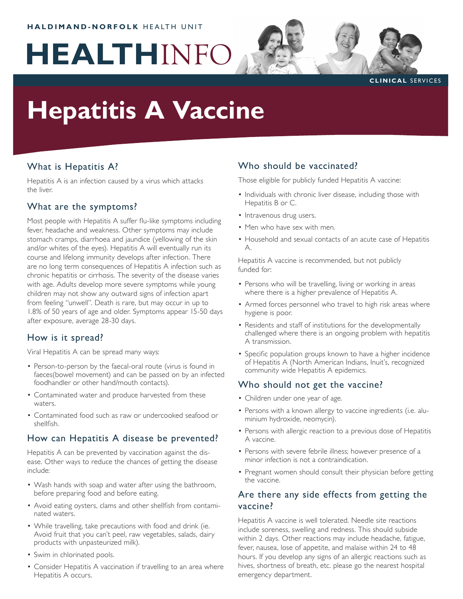#### **HALDIMAND-NORFOLK HEALTH UNIT**

# **HEALTH**INFO



#### **CLINICAL SERVICES**

# **Hepatitis A Vaccine**

## What is Hepatitis A?

Hepatitis A is an infection caused by a virus which attacks the liver.

#### What are the symptoms?

Most people with Hepatitis A suffer flu-like symptoms including fever, headache and weakness. Other symptoms may include stomach cramps, diarrhoea and jaundice (yellowing of the skin and/or whites of the eyes). Hepatitis A will eventually run its course and lifelong immunity develops after infection. There are no long term consequences of Hepatitis A infection such as chronic hepatitis or cirrhosis. The severity of the disease varies with age. Adults develop more severe symptoms while young children may not show any outward signs of infection apart from feeling "unwell". Death is rare, but may occur in up to 1.8% of 50 years of age and older. Symptoms appear 15-50 days after exposure, average 28-30 days.

#### How is it spread?

Viral Hepatitis A can be spread many ways:

- Person-to-person by the faecal-oral route (virus is found in faeces(bowel movement) and can be passed on by an infected foodhandler or other hand/mouth contacts).
- Contaminated water and produce harvested from these waters.
- Contaminated food such as raw or undercooked seafood or shellfish.

#### How can Hepatitis A disease be prevented?

Hepatitis A can be prevented by vaccination against the disease. Other ways to reduce the chances of getting the disease include:

- Wash hands with soap and water after using the bathroom, before preparing food and before eating.
- Avoid eating oysters, clams and other shellfish from contami-• nated waters.
- While travelling, take precautions with food and drink (ie. Avoid fruit that you can't peel, raw vegetables, salads, dairy products with unpasteurized milk).
- Swim in chlorinated pools.
- Consider Hepatitis A vaccination if travelling to an area where Hepatitis A occurs.

# Who should be vaccinated?

Those eligible for publicly funded Hepatitis A vaccine:

- Individuals with chronic liver disease, including those with Hepatitis B or C.
- Intravenous drug users.
- Men who have sex with men.
- Household and sexual contacts of an acute case of Hepatitis A.

Hepatitis A vaccine is recommended, but not publicly funded for:

- Persons who will be travelling, living or working in areas where there is a higher prevalence of Hepatitis A.
- Armed forces personnel who travel to high risk areas where hygiene is poor.
- Residents and staff of institutions for the developmentally challenged where there is an ongoing problem with hepatitis A transmission.
- Specific population groups known to have a higher incidence of Hepatitis A (North American Indians, Inuit's, recognized community wide Hepatitis A epidemics.

#### Who should not get the vaccine?

- Children under one year of age. •
- Persons with a known allergy to vaccine ingredients (i.e. aluminium hydroxide, neomycin).
- Persons with allergic reaction to a previous dose of Hepatitis A vaccine.
- Persons with severe febrile illness; however presence of a minor infection is not a contraindication.
- Pregnant women should consult their physician before getting the vaccine.

## Are there any side effects from getting the vaccine?

Hepatitis A vaccine is well tolerated. Needle site reactions include soreness, swelling and redness. This should subside within 2 days. Other reactions may include headache, fatigue, fever, nausea, lose of appetite, and malaise within 24 to 48 hours. If you develop any signs of an allergic reactions such as hives, shortness of breath, etc. please go the nearest hospital emergency department.